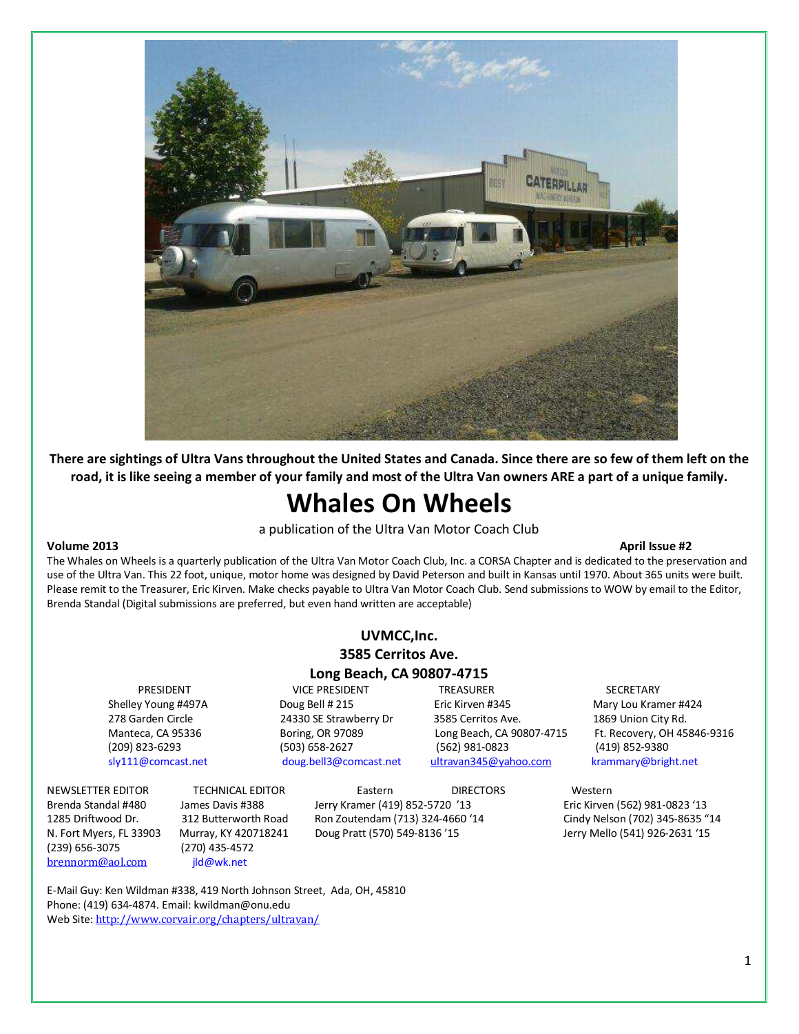

There are sightings of Ultra Vans throughout the United States and Canada. Since there are so few of them left on the road, it is like seeing a member of your family and most of the Ultra Van owners ARE a part of a unique family.

# Whales On Wheels

a publication of the Ultra Van Motor Coach Club

#### Volume 2013 April Issue #2

The Whales on Wheels is a quarterly publication of the Ultra Van Motor Coach Club, Inc. a CORSA Chapter and is dedicated to the preservation and use of the Ultra Van. This 22 foot, unique, motor home was designed by David Peterson and built in Kansas until 1970. About 365 units were built. Please remit to the Treasurer, Eric Kirven. Make checks payable to Ultra Van Motor Coach Club. Send submissions to WOW by email to the Editor, Brenda Standal (Digital submissions are preferred, but even hand written are acceptable)

#### UVMCC,Inc. 3585 Cerritos Ave. Long Beach, CA 90807-4715

PRESIDENT VICE PRESIDENT TREASURER SECRETARY

Shelley Young #497A Doug Bell # 215 Eric Kirven #345 Mary Lou Kramer #424 278 Garden Circle 24330 SE Strawberry Dr 3585 Cerritos Ave. 1869 Union City Rd. (209) 823-6293 (503) 658-2627 (562) 981-0823 (419) 852-9380 sly111@comcast.net doug.bell3@comcast.net ultravan345@yahoo.com krammary@bright.net

Manteca, CA 95336 Boring, OR 97089 Long Beach, CA 90807-4715 Ft. Recovery, OH 45846-9316

Brenda Standal #480 James Davis #388 Jerry Kramer (419) 852-5720 '13 Eric Kirven (562) 981-0823 '13 1285 Driftwood Dr. 312 Butterworth Road Ron Zoutendam (713) 324-4660 '14 Cindy Nelson (702) 345-8635 "14 N. Fort Myers, FL 33903 Murray, KY 420718241 Doug Pratt (570) 549-8136 '15 Jerry Mello (541) 926-2631 '15

(239) 656-3075 (270) 435-4572 [brennorm@aol.com](mailto:brennorm@aol.com) jld@wk.net

NEWSLETTER EDITOR TECHNICAL EDITOR Eastern DIRECTORS Western

E-Mail Guy: Ken Wildman #338, 419 North Johnson Street, Ada, OH, 45810 Phone: (419) 634-4874. Email: kwildman@onu.edu Web Site: <http://www.corvair.org/chapters/ultravan/>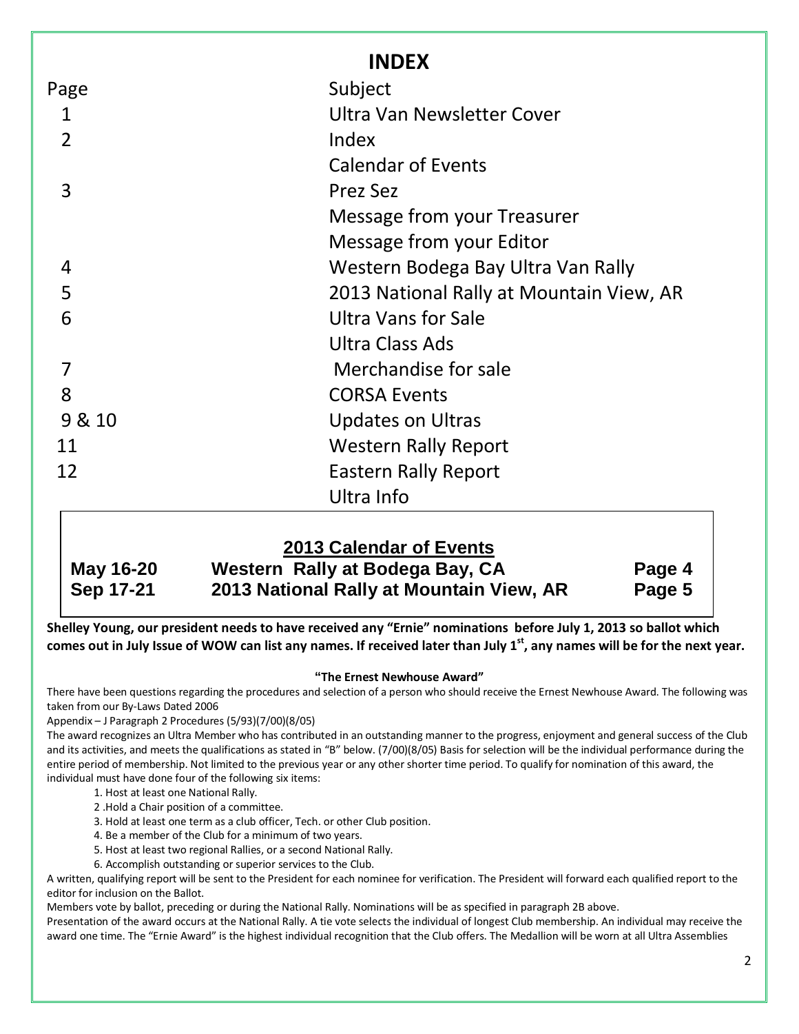|                | <b>INDEX</b>                             |  |
|----------------|------------------------------------------|--|
| Page           | Subject                                  |  |
| 1              | Ultra Van Newsletter Cover               |  |
| $\overline{2}$ | Index                                    |  |
|                | <b>Calendar of Events</b>                |  |
| 3              | Prez Sez                                 |  |
|                | Message from your Treasurer              |  |
|                | Message from your Editor                 |  |
| 4              | Western Bodega Bay Ultra Van Rally       |  |
| 5              | 2013 National Rally at Mountain View, AR |  |
| 6              | Ultra Vans for Sale                      |  |
|                | Ultra Class Ads                          |  |
| 7              | Merchandise for sale                     |  |
| 8              | <b>CORSA Events</b>                      |  |
| 9 & 10         | <b>Updates on Ultras</b>                 |  |
| 11             | <b>Western Rally Report</b>              |  |
| 12             | <b>Eastern Rally Report</b>              |  |
|                | Ultra Info                               |  |

|           | 2013 Calendar of Events                  |        |
|-----------|------------------------------------------|--------|
| May 16-20 | Western Rally at Bodega Bay, CA          | Page 4 |
| Sep 17-21 | 2013 National Rally at Mountain View, AR | Page 5 |

Shelley Young, our president needs to have received any "Ernie" nominations before July 1, 2013 so ballot which comes out in July Issue of WOW can list any names. If received later than July  $1<sup>st</sup>$ , any names will be for the next year.

#### **"**The Ernest Newhouse Award"

There have been questions regarding the procedures and selection of a person who should receive the Ernest Newhouse Award. The following was taken from our By-Laws Dated 2006

Appendix – J Paragraph 2 Procedures (5/93)(7/00)(8/05)

The award recognizes an Ultra Member who has contributed in an outstanding manner to the progress, enjoyment and general success of the Club and its activities, and meets the qualifications as stated in "B" below. (7/00)(8/05) Basis for selection will be the individual performance during the entire period of membership. Not limited to the previous year or any other shorter time period. To qualify for nomination of this award, the individual must have done four of the following six items:

- 1. Host at least one National Rally.
- 2 .Hold a Chair position of a committee.
- 3. Hold at least one term as a club officer, Tech. or other Club position.
- 4. Be a member of the Club for a minimum of two years.
- 5. Host at least two regional Rallies, or a second National Rally.
- 6. Accomplish outstanding or superior services to the Club.

A written, qualifying report will be sent to the President for each nominee for verification. The President will forward each qualified report to the editor for inclusion on the Ballot.

Members vote by ballot, preceding or during the National Rally. Nominations will be as specified in paragraph 2B above.

Presentation of the award occurs at the National Rally. A tie vote selects the individual of longest Club membership. An individual may receive the award one time. The "Ernie Award" is the highest individual recognition that the Club offers. The Medallion will be worn at all Ultra Assemblies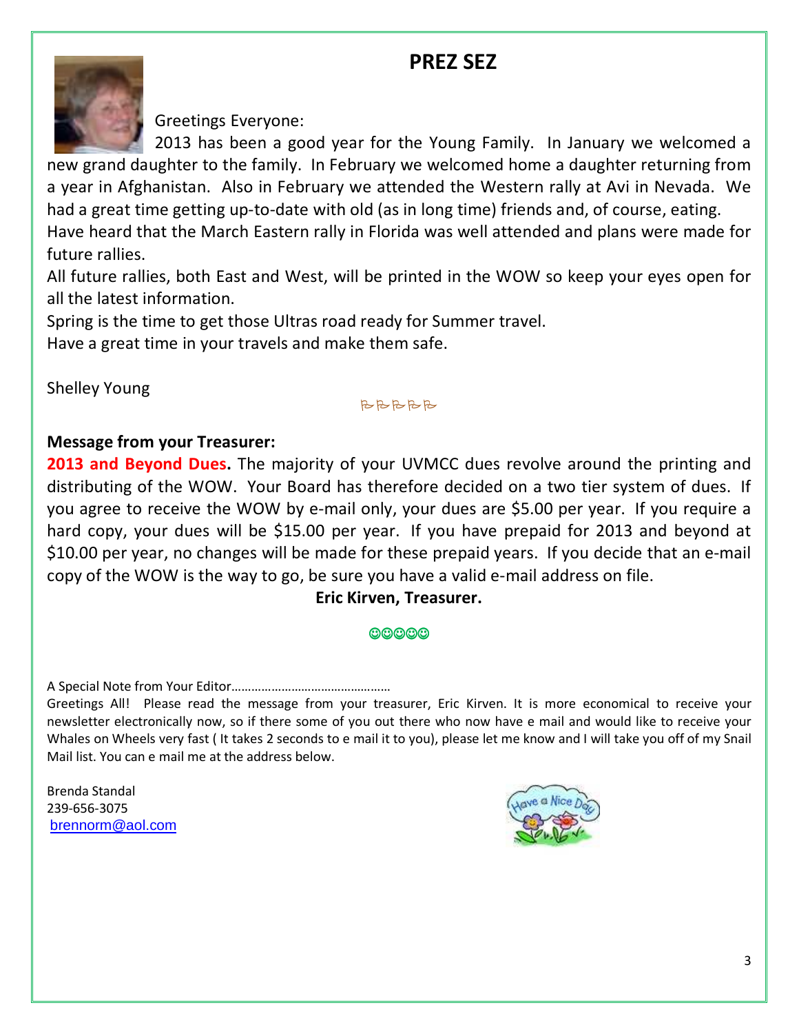# PREZ SEZ



Greetings Everyone:

2013 has been a good year for the Young Family. In January we welcomed a new grand daughter to the family. In February we welcomed home a daughter returning from a year in Afghanistan. Also in February we attended the Western rally at Avi in Nevada. We had a great time getting up-to-date with old (as in long time) friends and, of course, eating.

Have heard that the March Eastern rally in Florida was well attended and plans were made for future rallies.

All future rallies, both East and West, will be printed in the WOW so keep your eyes open for all the latest information.

Spring is the time to get those Ultras road ready for Summer travel.

Have a great time in your travels and make them safe.

Shelley Young

#### **BBBBB**

### Message from your Treasurer:

2013 and Beyond Dues. The majority of your UVMCC dues revolve around the printing and distributing of the WOW. Your Board has therefore decided on a two tier system of dues. If you agree to receive the WOW by e-mail only, your dues are \$5.00 per year. If you require a hard copy, your dues will be \$15.00 per year. If you have prepaid for 2013 and beyond at \$10.00 per year, no changes will be made for these prepaid years. If you decide that an e-mail copy of the WOW is the way to go, be sure you have a valid e-mail address on file.

### Eric Kirven, Treasurer.

#### $<sub>©</sub>$ </sub>

A Special Note from Your Editor…………………………………………

Greetings All! Please read the message from your treasurer, Eric Kirven. It is more economical to receive your newsletter electronically now, so if there some of you out there who now have e mail and would like to receive your Whales on Wheels very fast ( It takes 2 seconds to e mail it to you), please let me know and I will take you off of my Snail Mail list. You can e mail me at the address below.

Brenda Standal 239-656-3075 [brennorm@aol.com](mailto:brennorm@aol.com)

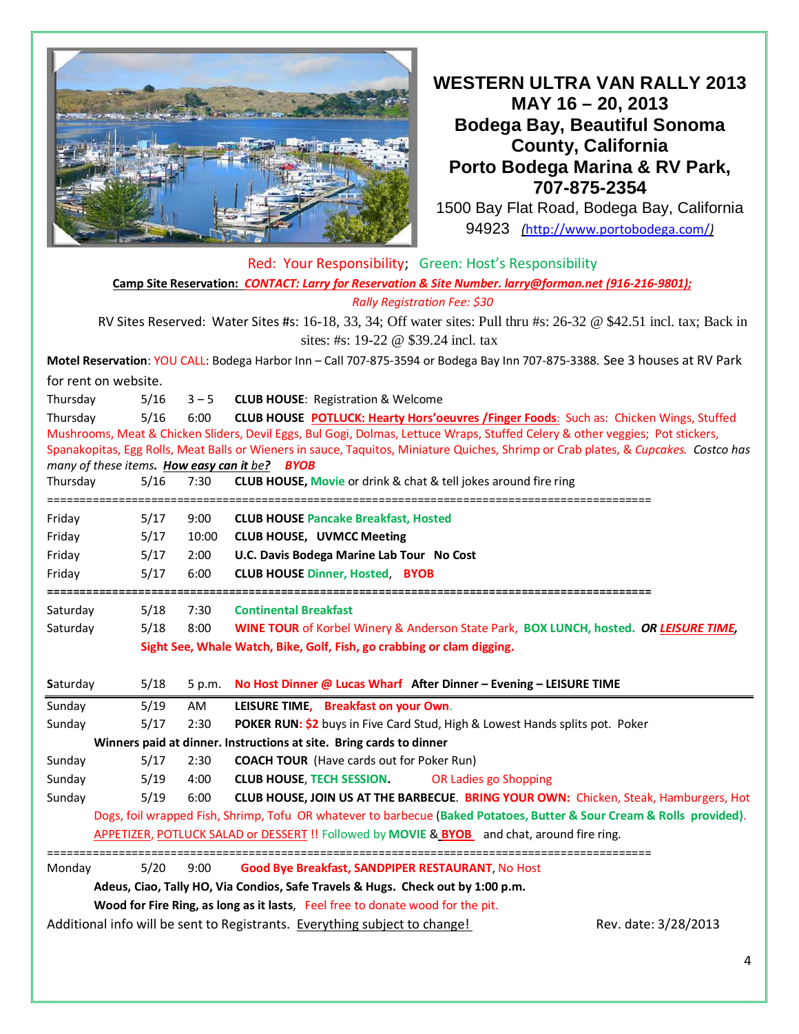

**WESTERN ULTRA VAN RALLY 2013 MAY 16 – 20, 2013 Bodega Bay, Beautiful Sonoma County, California Porto Bodega Marina & RV Park, 707-875-2354** 

1500 Bay Flat Road, Bodega Bay, California 94923 (<http://www.portobodega.com/>)

|                                                                                                       |                                                                                                                               |                                                                                                        |                                  | Red: Your Responsibility; Green: Host's Responsibility                                                                              |                      |  |  |  |
|-------------------------------------------------------------------------------------------------------|-------------------------------------------------------------------------------------------------------------------------------|--------------------------------------------------------------------------------------------------------|----------------------------------|-------------------------------------------------------------------------------------------------------------------------------------|----------------------|--|--|--|
| Camp Site Reservation: CONTACT: Larry for Reservation & Site Number. larry@forman.net (916-216-9801); |                                                                                                                               |                                                                                                        |                                  |                                                                                                                                     |                      |  |  |  |
|                                                                                                       | <b>Rally Registration Fee: \$30</b>                                                                                           |                                                                                                        |                                  |                                                                                                                                     |                      |  |  |  |
|                                                                                                       | RV Sites Reserved: Water Sites #s: 16-18, 33, 34; Off water sites: Pull thru #s: 26-32 @ \$42.51 incl. tax; Back in           |                                                                                                        |                                  |                                                                                                                                     |                      |  |  |  |
|                                                                                                       |                                                                                                                               |                                                                                                        |                                  | sites: #s: 19-22 @ \$39.24 incl. tax                                                                                                |                      |  |  |  |
|                                                                                                       |                                                                                                                               |                                                                                                        |                                  | Motel Reservation: YOU CALL: Bodega Harbor Inn - Call 707-875-3594 or Bodega Bay Inn 707-875-3388. See 3 houses at RV Park          |                      |  |  |  |
| for rent on website.                                                                                  |                                                                                                                               |                                                                                                        |                                  |                                                                                                                                     |                      |  |  |  |
| Thursday                                                                                              |                                                                                                                               | 5/16                                                                                                   | $3 - 5$                          | <b>CLUB HOUSE: Registration &amp; Welcome</b>                                                                                       |                      |  |  |  |
| Thursday                                                                                              |                                                                                                                               | 5/16<br>6:00<br>CLUB HOUSE POTLUCK: Hearty Hors'oeuvres /Finger Foods: Such as: Chicken Wings, Stuffed |                                  |                                                                                                                                     |                      |  |  |  |
|                                                                                                       | Mushrooms, Meat & Chicken Sliders, Devil Eggs, Bul Gogi, Dolmas, Lettuce Wraps, Stuffed Celery & other veggies; Pot stickers, |                                                                                                        |                                  |                                                                                                                                     |                      |  |  |  |
|                                                                                                       |                                                                                                                               |                                                                                                        |                                  | Spanakopitas, Egg Rolls, Meat Balls or Wieners in sauce, Taquitos, Miniature Quiches, Shrimp or Crab plates, & Cupcakes. Costco has |                      |  |  |  |
|                                                                                                       |                                                                                                                               |                                                                                                        |                                  | many of these items. How easy can it be? BYOB                                                                                       |                      |  |  |  |
| Thursday                                                                                              | ==================                                                                                                            | 5/16                                                                                                   | 7:30                             | <b>CLUB HOUSE, Movie or drink &amp; chat &amp; tell jokes around fire ring</b>                                                      |                      |  |  |  |
| Friday                                                                                                |                                                                                                                               | 5/17                                                                                                   | 9:00                             | <b>CLUB HOUSE Pancake Breakfast, Hosted</b>                                                                                         |                      |  |  |  |
| Friday<br>5/17                                                                                        |                                                                                                                               | 10:00                                                                                                  | <b>CLUB HOUSE, UVMCC Meeting</b> |                                                                                                                                     |                      |  |  |  |
| Friday                                                                                                | 5/17<br>2:00<br>U.C. Davis Bodega Marine Lab Tour No Cost                                                                     |                                                                                                        |                                  |                                                                                                                                     |                      |  |  |  |
| Friday                                                                                                |                                                                                                                               | 5/17                                                                                                   | 6:00                             | <b>CLUB HOUSE Dinner, Hosted, BYOB</b>                                                                                              |                      |  |  |  |
|                                                                                                       |                                                                                                                               |                                                                                                        |                                  |                                                                                                                                     |                      |  |  |  |
| Saturday                                                                                              |                                                                                                                               | 5/18                                                                                                   | 7:30                             | <b>Continental Breakfast</b>                                                                                                        |                      |  |  |  |
| Saturday                                                                                              |                                                                                                                               | 5/18                                                                                                   | 8:00                             | WINE TOUR of Korbel Winery & Anderson State Park, BOX LUNCH, hosted. OR LEISURE TIME,                                               |                      |  |  |  |
|                                                                                                       |                                                                                                                               |                                                                                                        |                                  | Sight See, Whale Watch, Bike, Golf, Fish, go crabbing or clam digging.                                                              |                      |  |  |  |
| Saturday                                                                                              |                                                                                                                               | 5/18                                                                                                   | 5 p.m.                           | No Host Dinner @ Lucas Wharf After Dinner - Evening - LEISURE TIME                                                                  |                      |  |  |  |
| Sunday                                                                                                |                                                                                                                               | 5/19                                                                                                   | AM                               | LEISURE TIME, Breakfast on your Own.                                                                                                |                      |  |  |  |
| Sunday                                                                                                |                                                                                                                               | 5/17<br>2:30<br>POKER RUN: \$2 buys in Five Card Stud, High & Lowest Hands splits pot. Poker           |                                  |                                                                                                                                     |                      |  |  |  |
| Winners paid at dinner. Instructions at site. Bring cards to dinner                                   |                                                                                                                               |                                                                                                        |                                  |                                                                                                                                     |                      |  |  |  |
| Sunday                                                                                                |                                                                                                                               | 5/17                                                                                                   | 2:30                             | <b>COACH TOUR</b> (Have cards out for Poker Run)                                                                                    |                      |  |  |  |
| Sunday                                                                                                |                                                                                                                               | 5/19                                                                                                   | 4:00                             | <b>CLUB HOUSE, TECH SESSION.</b><br>OR Ladies go Shopping                                                                           |                      |  |  |  |
| Sunday                                                                                                |                                                                                                                               | 5/19                                                                                                   | 6:00                             | CLUB HOUSE, JOIN US AT THE BARBECUE. BRING YOUR OWN: Chicken, Steak, Hamburgers, Hot                                                |                      |  |  |  |
|                                                                                                       |                                                                                                                               |                                                                                                        |                                  | Dogs, foil wrapped Fish, Shrimp, Tofu OR whatever to barbecue (Baked Potatoes, Butter & Sour Cream & Rolls provided).               |                      |  |  |  |
|                                                                                                       |                                                                                                                               |                                                                                                        |                                  | APPETIZER, POTLUCK SALAD or DESSERT !! Followed by MOVIE & BYOB and chat, around fire ring.                                         |                      |  |  |  |
| Monday                                                                                                |                                                                                                                               | 5/20                                                                                                   | 9:00                             | Good Bye Breakfast, SANDPIPER RESTAURANT, No Host                                                                                   |                      |  |  |  |
|                                                                                                       |                                                                                                                               |                                                                                                        |                                  | Adeus, Ciao, Tally HO, Via Condios, Safe Travels & Hugs. Check out by 1:00 p.m.                                                     |                      |  |  |  |
|                                                                                                       |                                                                                                                               |                                                                                                        |                                  | Wood for Fire Ring, as long as it lasts, Feel free to donate wood for the pit.                                                      |                      |  |  |  |
|                                                                                                       |                                                                                                                               |                                                                                                        |                                  | Additional info will be sent to Registrants. Everything subject to change!                                                          | Rev. date: 3/28/2013 |  |  |  |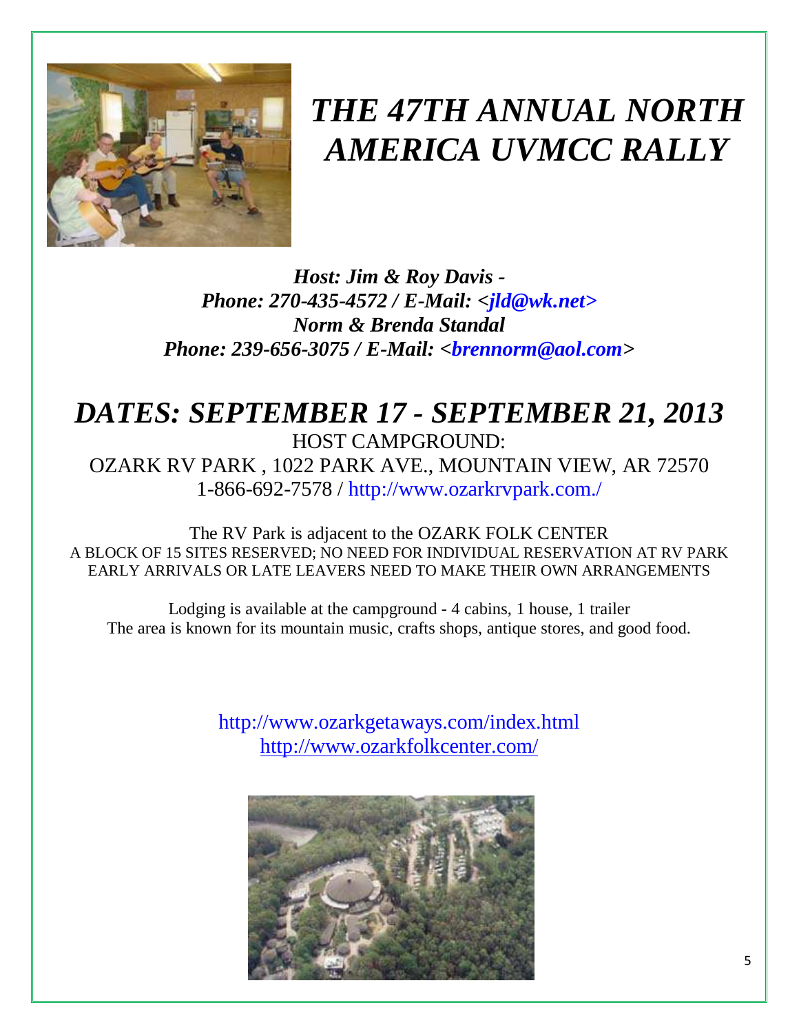

# *THE 47TH ANNUAL NORTH AMERICA UVMCC RALLY*

*Host: Jim & Roy Davis - Phone: 270-435-4572 / E-Mail: <jld@wk.net> Norm & Brenda Standal Phone: 239-656-3075 / E-Mail: <brennorm@aol.com>* 

# *DATES: SEPTEMBER 17 - SEPTEMBER 21, 2013*  HOST CAMPGROUND: OZARK RV PARK , 1022 PARK AVE., MOUNTAIN VIEW, AR 72570 1-866-692-7578 / http://www.ozarkrvpark.com./

The RV Park is adjacent to the OZARK FOLK CENTER A BLOCK OF 15 SITES RESERVED; NO NEED FOR INDIVIDUAL RESERVATION AT RV PARK EARLY ARRIVALS OR LATE LEAVERS NEED TO MAKE THEIR OWN ARRANGEMENTS

Lodging is available at the campground - 4 cabins, 1 house, 1 trailer The area is known for its mountain music, crafts shops, antique stores, and good food.

> http://www.ozarkgetaways.com/index.html <http://www.ozarkfolkcenter.com/>

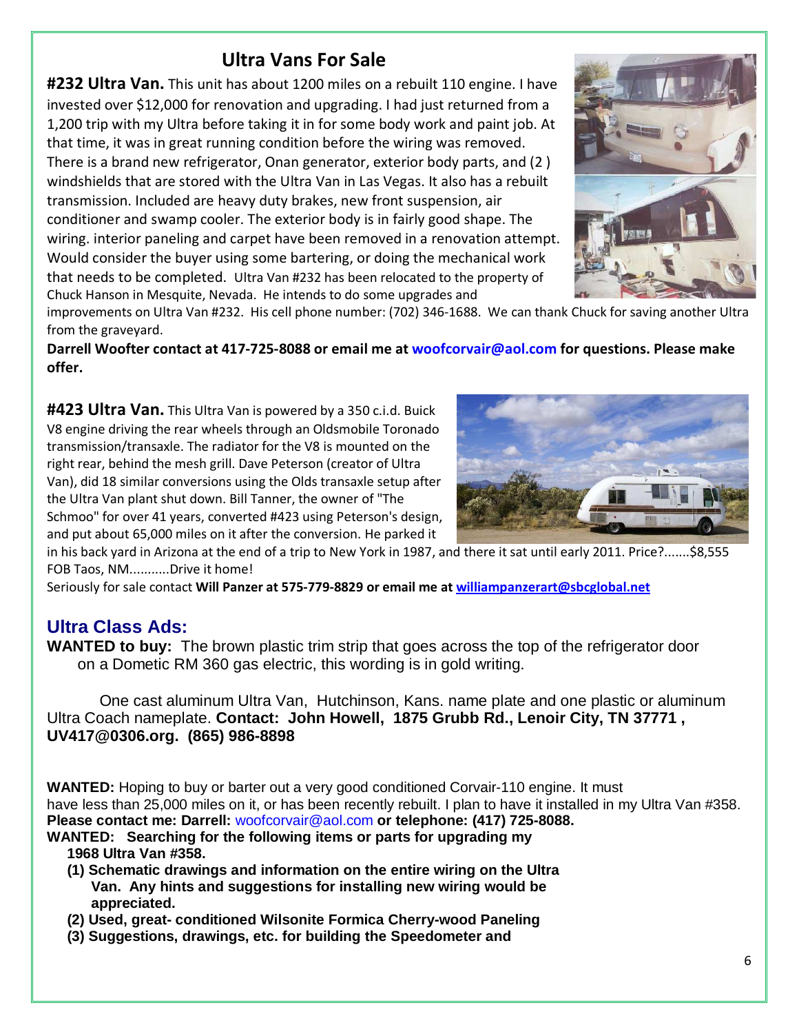# Ultra Vans For Sale

**#232 Ultra Van.** This unit has about 1200 miles on a rebuilt 110 engine. I have invested over \$12,000 for renovation and upgrading. I had just returned from a 1,200 trip with my Ultra before taking it in for some body work and paint job. At that time, it was in great running condition before the wiring was removed. There is a brand new refrigerator, Onan generator, exterior body parts, and (2 ) windshields that are stored with the Ultra Van in Las Vegas. It also has a rebuilt transmission. Included are heavy duty brakes, new front suspension, air conditioner and swamp cooler. The exterior body is in fairly good shape. The wiring. interior paneling and carpet have been removed in a renovation attempt. Would consider the buyer using some bartering, or doing the mechanical work that needs to be completed. Ultra Van #232 has been relocated to the property of Chuck Hanson in Mesquite, Nevada. He intends to do some upgrades and



improvements on Ultra Van #232. His cell phone number: (702) 346-1688. We can thank Chuck for saving another Ultra from the graveyard.

Darrell Woofter contact at 417-725-8088 or email me at woofcorvair@aol.com for questions. Please make offer.

#423 Ultra Van. This Ultra Van is powered by a 350 c.i.d. Buick V8 engine driving the rear wheels through an Oldsmobile Toronado transmission/transaxle. The radiator for the V8 is mounted on the right rear, behind the mesh grill. Dave Peterson (creator of Ultra Van), did 18 similar conversions using the Olds transaxle setup after the Ultra Van plant shut down. Bill Tanner, the owner of "The Schmoo" for over 41 years, converted #423 using Peterson's design, and put about 65,000 miles on it after the conversion. He parked it



in his back yard in Arizona at the end of a trip to New York in 1987, and there it sat until early 2011. Price?.......\$8,555 FOB Taos, NM...........Drive it home!

Seriously for sale contact Will Panzer at 575-779-8829 or email me at [williampanzerart@sbcglobal.net](mailto:williampanzerart@sbcglobal.net)

### **Ultra Class Ads:**

**WANTED to buy:** The brown plastic trim strip that goes across the top of the refrigerator door on a Dometic RM 360 gas electric, this wording is in gold writing.

 One cast aluminum Ultra Van, Hutchinson, Kans. name plate and one plastic or aluminum Ultra Coach nameplate. **Contact: John Howell, 1875 Grubb Rd., Lenoir City, TN 37771 , UV417@0306.org. (865) 986-8898** 

**WANTED:** Hoping to buy or barter out a very good conditioned Corvair-110 engine. It must have less than 25,000 miles on it, or has been recently rebuilt. I plan to have it installed in my Ultra Van #358. **Please contact me: Darrell:** woofcorvair@aol.com **or telephone: (417) 725-8088.**

- **WANTED: Searching for the following items or parts for upgrading my 1968 Ultra Van #358.** 
	- **(1) Schematic drawings and information on the entire wiring on the Ultra Van. Any hints and suggestions for installing new wiring would be appreciated.**
	- **(2) Used, great- conditioned Wilsonite Formica Cherry-wood Paneling**
	- **(3) Suggestions, drawings, etc. for building the Speedometer and**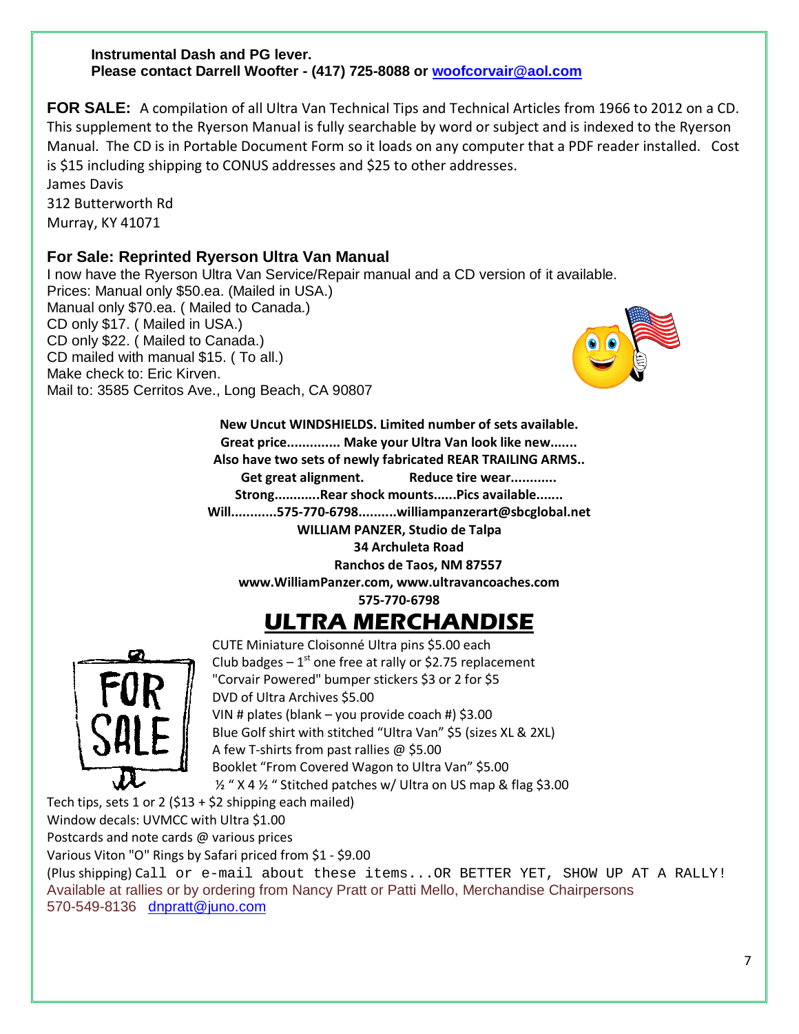#### **Instrumental Dash and PG lever. Please contact Darrell Woofter - (417) 725-8088 or [woofcorvair@aol.com](mailto:woofcorvair@aol.com)**

**FOR SALE:** A compilation of all Ultra Van Technical Tips and Technical Articles from 1966 to 2012 on a CD. This supplement to the Ryerson Manual is fully searchable by word or subject and is indexed to the Ryerson Manual. The CD is in Portable Document Form so it loads on any computer that a PDF reader installed. Cost is \$15 including shipping to CONUS addresses and \$25 to other addresses.

James Davis 312 Butterworth Rd Murray, KY 41071

#### **For Sale: Reprinted Ryerson Ultra Van Manual**

I now have the Ryerson Ultra Van Service/Repair manual and a CD version of it available. Prices: Manual only \$50.ea. (Mailed in USA.) Manual only \$70.ea. ( Mailed to Canada.) CD only \$17. ( Mailed in USA.) CD only \$22. ( Mailed to Canada.) CD mailed with manual \$15. ( To all.) Make check to: Eric Kirven. Mail to: 3585 Cerritos Ave., Long Beach, CA 90807



New Uncut WINDSHIELDS. Limited number of sets available. Great price.............. Make your Ultra Van look like new....... Also have two sets of newly fabricated REAR TRAILING ARMS.. Get great alignment. Reduce tire wear............. Strong............Rear shock mounts......Pics available....... Will............575-770-6798..........williampanzerart@sbcglobal.net WILLIAM PANZER, Studio de Talpa 34 Archuleta Road Ranchos de Taos, NM 87557

www.WilliamPanzer.com, www.ultravancoaches.com

575-770-6798

# ULTRA MERCHANDISE



CUTE Miniature Cloisonné Ultra pins \$5.00 each Club badges  $-1^{st}$  one free at rally or \$2.75 replacement "Corvair Powered" bumper stickers \$3 or 2 for \$5 DVD of Ultra Archives \$5.00 VIN # plates (blank – you provide coach #) \$3.00 Blue Golf shirt with stitched "Ultra Van" \$5 (sizes XL & 2XL) A few T-shirts from past rallies @ \$5.00 Booklet "From Covered Wagon to Ultra Van" \$5.00 ½ " X 4 ½ " Stitched patches w/ Ultra on US map & flag \$3.00

Tech tips, sets 1 or 2 (\$13 + \$2 shipping each mailed)

Window decals: UVMCC with Ultra \$1.00

Postcards and note cards @ various prices

Various Viton "O" Rings by Safari priced from \$1 - \$9.00

(Plus shipping) Call or e-mail about these items...OR BETTER YET, SHOW UP AT A RALLY! Available at rallies or by ordering from Nancy Pratt or Patti Mello, Merchandise Chairpersons 570-549-8136 [dnpratt@juno.com](mailto:dnpratt@juno.com)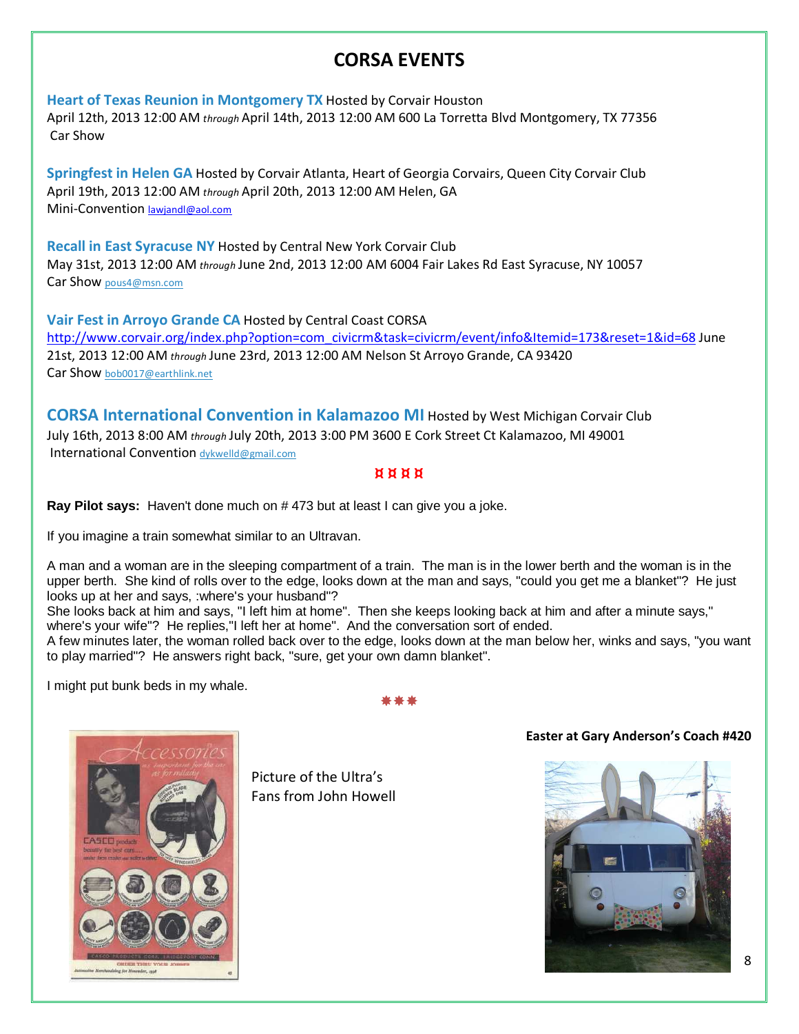# CORSA EVENTS

[Heart of Texas Reunion in Montgomery TX](http://www.corvair.org/index.php?option=com_civicrm&task=civicrm/event/info&Itemid=173&reset=1&id=66) Hosted by Corvair Houston

April 12th, 2013 12:00 AM through April 14th, 2013 12:00 AM 600 La Torretta Blvd Montgomery, TX 77356 Car Show

Springfest in Helen GA Hosted by Corvair Atlanta, Heart of Georgia Corvairs, Queen City Corvair Club April 19th, 2013 12:00 AM through April 20th, 2013 12:00 AM Helen, GA Mini-Convention **[lawjandl@aol.com](mailto:lawjandl@aol.com)** 

Recall in East Syracuse NY [Hosted by Central New York Corvair Club](http://www.corvair.org/index.php?option=com_civicrm&task=civicrm/event/info&Itemid=173&reset=1&id=67)  May 31st, 2013 12:00 AM through June 2nd, 2013 12:00 AM 6004 Fair Lakes Rd East Syracuse, NY 10057 Car Show [pous4@msn.com](mailto:pous4@msn.com)

[Vair Fest in Arroyo Grande CA](http://www.corvair.org/index.php?option=com_civicrm&task=civicrm/event/info&Itemid=173&reset=1&id=68) Hosted by Central Coast CORSA [http://www.corvair.org/index.php?option=com\\_civicrm&task=civicrm/event/info&Itemid=173&reset=1&id=68 J](http://www.corvair.org/index.php?option=com_civicrm&task=civicrm/event/info&Itemid=173&reset=1&id=68)une 21st, 2013 12:00 AM through June 23rd, 2013 12:00 AM Nelson St Arroyo Grande, CA 93420 Car Show [bob0017@earthlink.net](mailto:bob0017@earthlink.net)

[CORSA International Convention in Kalamazoo MI](http://www.corvair.org/index.php?option=com_civicrm&task=civicrm/event/info&Itemid=173&reset=1&id=61) Hosted by West Michigan Corvair Club July 16th, 2013 8:00 AM through July 20th, 2013 3:00 PM 3600 E Cork Street Ct Kalamazoo, MI 49001 International Convention [dykwelld@gmail.com](mailto:dykwelld@gmail.com)

#### ¤ ¤ ¤ ¤

**Ray Pilot says:** Haven't done much on # 473 but at least I can give you a joke.

If you imagine a train somewhat similar to an Ultravan.

A man and a woman are in the sleeping compartment of a train. The man is in the lower berth and the woman is in the upper berth. She kind of rolls over to the edge, looks down at the man and says, "could you get me a blanket"? He just looks up at her and says, :where's your husband"?

She looks back at him and says, "I left him at home". Then she keeps looking back at him and after a minute says," where's your wife"? He replies,"I left her at home". And the conversation sort of ended.

A few minutes later, the woman rolled back over to the edge, looks down at the man below her, winks and says, "you want to play married"? He answers right back, "sure, get your own damn blanket".

I might put bunk beds in my whale.





Picture of the Ultra's Fans from John Howell

#### Easter at Gary Anderson's Coach #420



8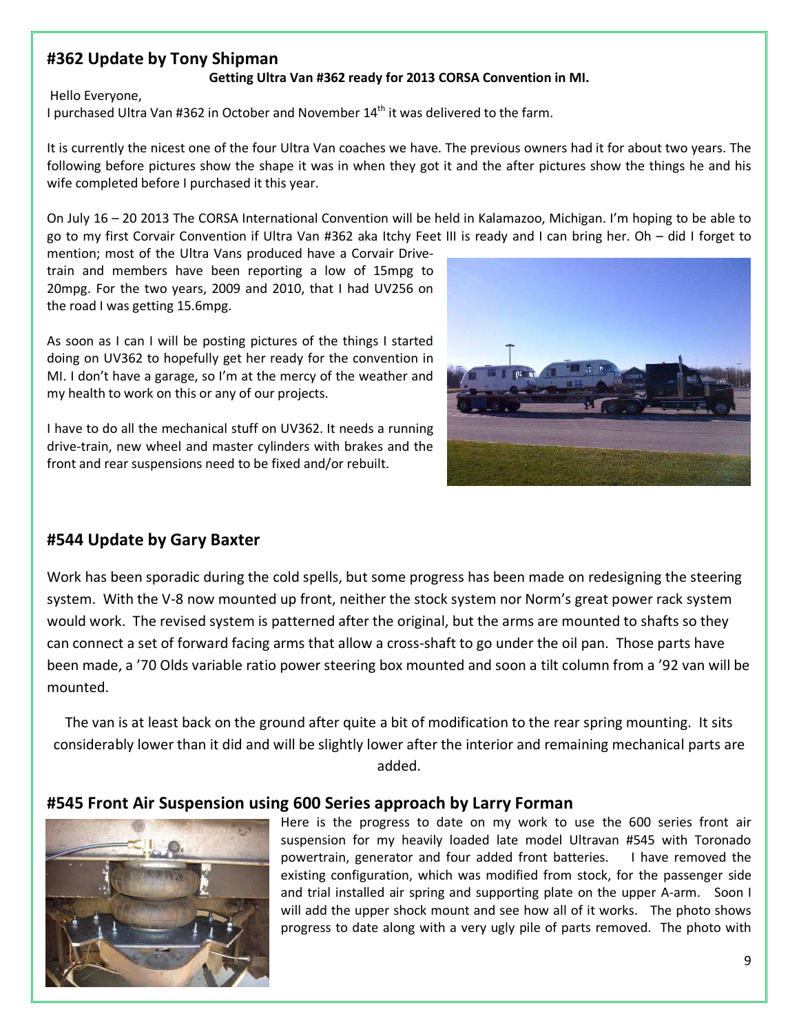#### #362 Update by Tony Shipman

#### Getting Ultra Van #362 ready for 2013 CORSA Convention in MI.

Hello Everyone,

I purchased Ultra Van #362 in October and November  $14<sup>th</sup>$  it was delivered to the farm.

It is currently the nicest one of the four Ultra Van coaches we have. The previous owners had it for about two years. The following before pictures show the shape it was in when they got it and the after pictures show the things he and his wife completed before I purchased it this year.

On July 16 – 20 2013 The CORSA International Convention will be held in Kalamazoo, Michigan. I'm hoping to be able to go to my first Corvair Convention if Ultra Van #362 aka Itchy Feet III is ready and I can bring her. Oh – did I forget to

mention; most of the Ultra Vans produced have a Corvair Drivetrain and members have been reporting a low of 15mpg to 20mpg. For the two years, 2009 and 2010, that I had UV256 on the road I was getting 15.6mpg.

As soon as I can I will be posting pictures of the things I started doing on UV362 to hopefully get her ready for the convention in MI. I don't have a garage, so I'm at the mercy of the weather and my health to work on this or any of our projects.

I have to do all the mechanical stuff on UV362. It needs a running drive-train, new wheel and master cylinders with brakes and the front and rear suspensions need to be fixed and/or rebuilt.



#### #544 Update by Gary Baxter

Work has been sporadic during the cold spells, but some progress has been made on redesigning the steering system. With the V-8 now mounted up front, neither the stock system nor Norm's great power rack system would work. The revised system is patterned after the original, but the arms are mounted to shafts so they can connect a set of forward facing arms that allow a cross-shaft to go under the oil pan. Those parts have been made, a '70 Olds variable ratio power steering box mounted and soon a tilt column from a '92 van will be mounted.

The van is at least back on the ground after quite a bit of modification to the rear spring mounting. It sits considerably lower than it did and will be slightly lower after the interior and remaining mechanical parts are added.

#### #545 Front Air Suspension using 600 Series approach by Larry Forman



Here is the progress to date on my work to use the 600 series front air suspension for my heavily loaded late model Ultravan #545 with Toronado powertrain, generator and four added front batteries. I have removed the existing configuration, which was modified from stock, for the passenger side and trial installed air spring and supporting plate on the upper A-arm. Soon I will add the upper shock mount and see how all of it works. The photo shows progress to date along with a very ugly pile of parts removed. The photo with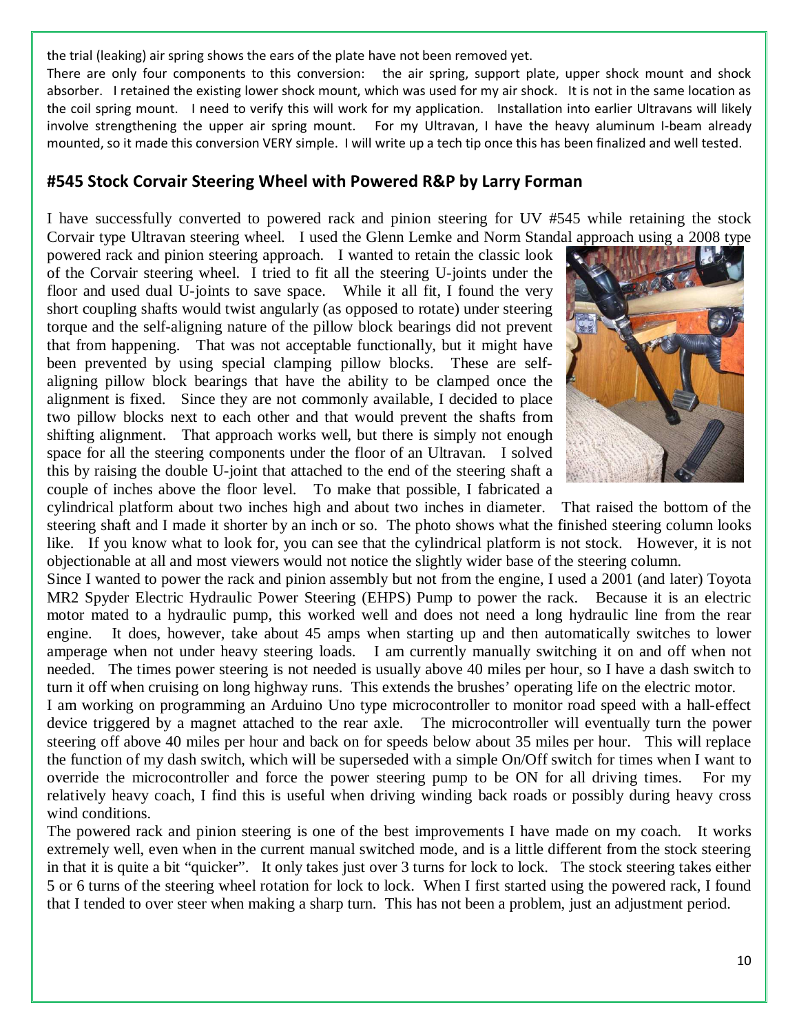the trial (leaking) air spring shows the ears of the plate have not been removed yet.

There are only four components to this conversion: the air spring, support plate, upper shock mount and shock absorber. I retained the existing lower shock mount, which was used for my air shock. It is not in the same location as the coil spring mount. I need to verify this will work for my application. Installation into earlier Ultravans will likely involve strengthening the upper air spring mount. For my Ultravan, I have the heavy aluminum I-beam already mounted, so it made this conversion VERY simple. I will write up a tech tip once this has been finalized and well tested.

#### #545 Stock Corvair Steering Wheel with Powered R&P by Larry Forman

I have successfully converted to powered rack and pinion steering for UV #545 while retaining the stock Corvair type Ultravan steering wheel. I used the Glenn Lemke and Norm Standal approach using a 2008 type

powered rack and pinion steering approach. I wanted to retain the classic look of the Corvair steering wheel. I tried to fit all the steering U-joints under the floor and used dual U-joints to save space. While it all fit, I found the very short coupling shafts would twist angularly (as opposed to rotate) under steering torque and the self-aligning nature of the pillow block bearings did not prevent that from happening. That was not acceptable functionally, but it might have been prevented by using special clamping pillow blocks. These are selfaligning pillow block bearings that have the ability to be clamped once the alignment is fixed. Since they are not commonly available, I decided to place two pillow blocks next to each other and that would prevent the shafts from shifting alignment. That approach works well, but there is simply not enough space for all the steering components under the floor of an Ultravan. I solved this by raising the double U-joint that attached to the end of the steering shaft a couple of inches above the floor level. To make that possible, I fabricated a



cylindrical platform about two inches high and about two inches in diameter. That raised the bottom of the steering shaft and I made it shorter by an inch or so. The photo shows what the finished steering column looks like. If you know what to look for, you can see that the cylindrical platform is not stock. However, it is not objectionable at all and most viewers would not notice the slightly wider base of the steering column.

Since I wanted to power the rack and pinion assembly but not from the engine, I used a 2001 (and later) Toyota MR2 Spyder Electric Hydraulic Power Steering (EHPS) Pump to power the rack. Because it is an electric motor mated to a hydraulic pump, this worked well and does not need a long hydraulic line from the rear engine. It does, however, take about 45 amps when starting up and then automatically switches to lower amperage when not under heavy steering loads. I am currently manually switching it on and off when not needed. The times power steering is not needed is usually above 40 miles per hour, so I have a dash switch to turn it off when cruising on long highway runs. This extends the brushes' operating life on the electric motor.

I am working on programming an Arduino Uno type microcontroller to monitor road speed with a hall-effect device triggered by a magnet attached to the rear axle. The microcontroller will eventually turn the power steering off above 40 miles per hour and back on for speeds below about 35 miles per hour. This will replace the function of my dash switch, which will be superseded with a simple On/Off switch for times when I want to override the microcontroller and force the power steering pump to be ON for all driving times. For my relatively heavy coach, I find this is useful when driving winding back roads or possibly during heavy cross wind conditions.

The powered rack and pinion steering is one of the best improvements I have made on my coach. It works extremely well, even when in the current manual switched mode, and is a little different from the stock steering in that it is quite a bit "quicker". It only takes just over 3 turns for lock to lock. The stock steering takes either 5 or 6 turns of the steering wheel rotation for lock to lock. When I first started using the powered rack, I found that I tended to over steer when making a sharp turn. This has not been a problem, just an adjustment period.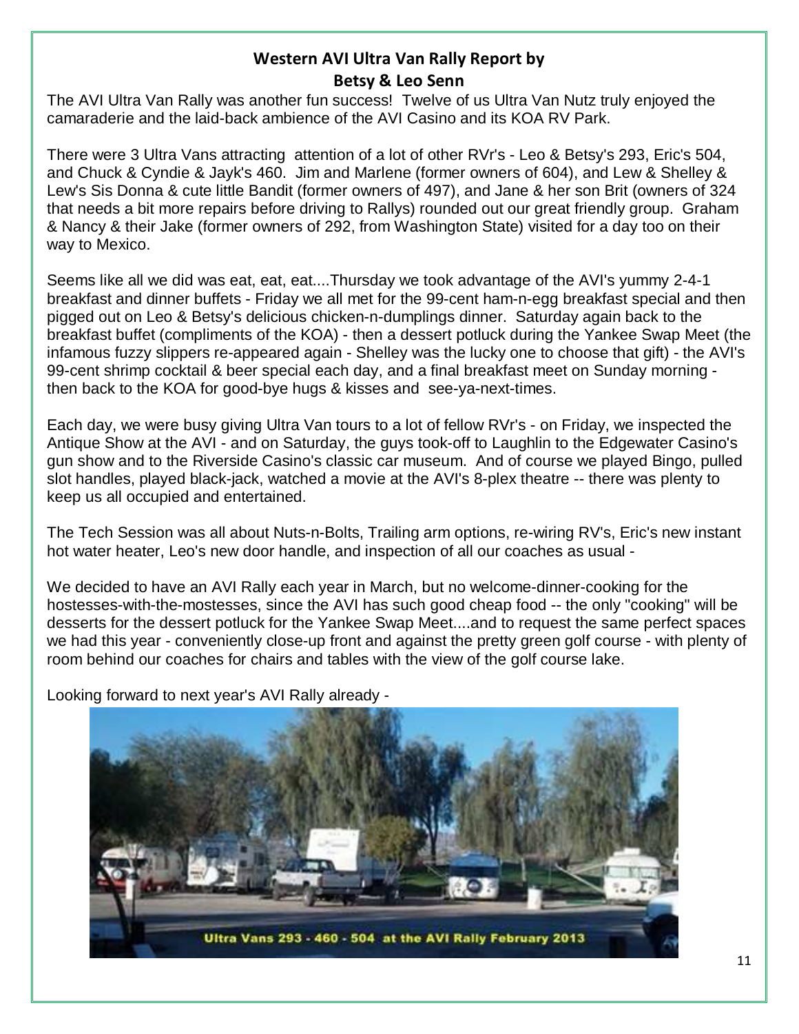#### Western AVI Ultra Van Rally Report by Betsy & Leo Senn

The AVI Ultra Van Rally was another fun success! Twelve of us Ultra Van Nutz truly enjoyed the camaraderie and the laid-back ambience of the AVI Casino and its KOA RV Park.

There were 3 Ultra Vans attracting attention of a lot of other RVr's - Leo & Betsy's 293, Eric's 504, and Chuck & Cyndie & Jayk's 460. Jim and Marlene (former owners of 604), and Lew & Shelley & Lew's Sis Donna & cute little Bandit (former owners of 497), and Jane & her son Brit (owners of 324 that needs a bit more repairs before driving to Rallys) rounded out our great friendly group. Graham & Nancy & their Jake (former owners of 292, from Washington State) visited for a day too on their way to Mexico.

Seems like all we did was eat, eat, eat....Thursday we took advantage of the AVI's yummy 2-4-1 breakfast and dinner buffets - Friday we all met for the 99-cent ham-n-egg breakfast special and then pigged out on Leo & Betsy's delicious chicken-n-dumplings dinner. Saturday again back to the breakfast buffet (compliments of the KOA) - then a dessert potluck during the Yankee Swap Meet (the infamous fuzzy slippers re-appeared again - Shelley was the lucky one to choose that gift) - the AVI's 99-cent shrimp cocktail & beer special each day, and a final breakfast meet on Sunday morning then back to the KOA for good-bye hugs & kisses and see-ya-next-times.

Each day, we were busy giving Ultra Van tours to a lot of fellow RVr's - on Friday, we inspected the Antique Show at the AVI - and on Saturday, the guys took-off to Laughlin to the Edgewater Casino's gun show and to the Riverside Casino's classic car museum. And of course we played Bingo, pulled slot handles, played black-jack, watched a movie at the AVI's 8-plex theatre -- there was plenty to keep us all occupied and entertained.

The Tech Session was all about Nuts-n-Bolts, Trailing arm options, re-wiring RV's, Eric's new instant hot water heater, Leo's new door handle, and inspection of all our coaches as usual -

We decided to have an AVI Rally each year in March, but no welcome-dinner-cooking for the hostesses-with-the-mostesses, since the AVI has such good cheap food -- the only "cooking" will be desserts for the dessert potluck for the Yankee Swap Meet....and to request the same perfect spaces we had this year - conveniently close-up front and against the pretty green golf course - with plenty of room behind our coaches for chairs and tables with the view of the golf course lake.

Looking forward to next year's AVI Rally already -